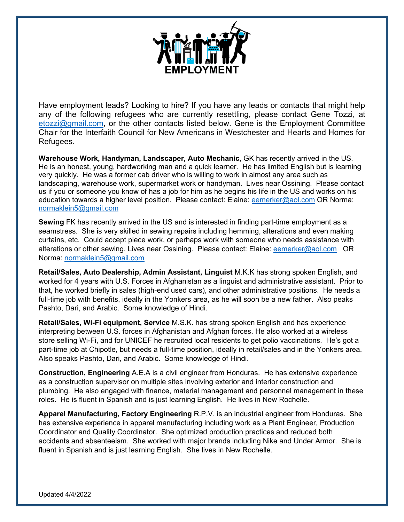

Have employment leads? Looking to hire? If you have any leads or contacts that might help any of the following refugees who are currently resettling, please contact Gene Tozzi, at  $etozzi@gmail.com$ , or the other contacts listed below. Gene is the Employment Committee Chair for the Interfaith Council for New Americans in Westchester and Hearts and Homes for Refugees.

**Warehouse Work, Handyman, Landscaper, Auto Mechanic,** GK has recently arrived in the US. He is an honest, young, hardworking man and a quick learner. He has limited English but is learning very quickly. He was a former cab driver who is willing to work in almost any area such as landscaping, warehouse work, supermarket work or handyman. Lives near Ossining. Please contact us if you or someone you know of has a job for him as he begins his life in the US and works on his education towards a higher level position. Please contact: Elaine: [eemerker@aol.com](mailto:eemerker@aol.com) OR Norma: [normaklein5@gmail.com](mailto:normaklein5@gmail.com)

**Sewing** FK has recently arrived in the US and is interested in finding part-time employment as a seamstress. She is very skilled in sewing repairs including hemming, alterations and even making curtains, etc. Could accept piece work, or perhaps work with someone who needs assistance with alterations or other sewing. Lives near Ossining. Please contact: Elaine: [eemerker@aol.com](mailto:eemerker@aol.com) OR Norma: [normaklein5@gmail.com](mailto:normaklein5@gmail.com)

**Retail/Sales, Auto Dealership, Admin Assistant, Linguist** M.K.K has strong spoken English, and worked for 4 years with U.S. Forces in Afghanistan as a linguist and administrative assistant. Prior to that, he worked briefly in sales (high-end used cars), and other administrative positions. He needs a full-time job with benefits, ideally in the Yonkers area, as he will soon be a new father. Also peaks Pashto, Dari, and Arabic. Some knowledge of Hindi.

**Retail/Sales, Wi-Fi equipment, Service** M.S.K. has strong spoken English and has experience interpreting between U.S. forces in Afghanistan and Afghan forces. He also worked at a wireless store selling Wi-Fi, and for UNICEF he recruited local residents to get polio vaccinations. He's got a part-time job at Chipotle, but needs a full-time position, ideally in retail/sales and in the Yonkers area. Also speaks Pashto, Dari, and Arabic. Some knowledge of Hindi.

**Construction, Engineering** A.E.A is a civil engineer from Honduras. He has extensive experience as a construction supervisor on multiple sites involving exterior and interior construction and plumbing. He also engaged with finance, material management and personnel management in these roles. He is fluent in Spanish and is just learning English. He lives in New Rochelle.

**Apparel Manufacturing, Factory Engineering** R.P.V. is an industrial engineer from Honduras. She has extensive experience in apparel manufacturing including work as a Plant Engineer, Production Coordinator and Quality Coordinator. She optimized production practices and reduced both accidents and absenteeism. She worked with major brands including Nike and Under Armor. She is fluent in Spanish and is just learning English. She lives in New Rochelle.